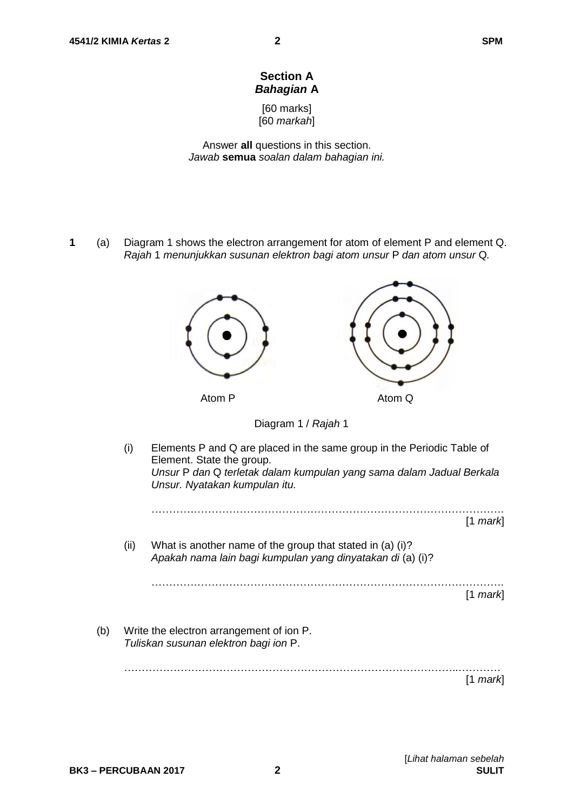# **Section A** *Bahagian* **A**

[60 marks] [60 *markah*]

Answer **all** questions in this section. *Jawab* **semua** *soalan dalam bahagian ini.*

**1** (a) Diagram 1 shows the electron arrangement for atom of element P and element Q. *Rajah* 1 *menunjukkan susunan elektron bagi atom unsur* P *dan atom unsur* Q*.*



[*Lihat halaman sebelah*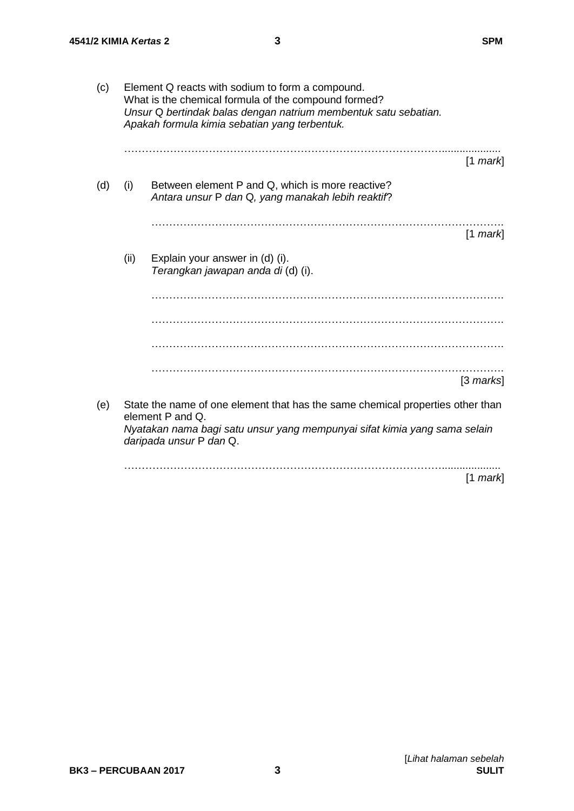| (c) |      | Element Q reacts with sodium to form a compound.<br>What is the chemical formula of the compound formed?<br>Unsur Q bertindak balas dengan natrium membentuk satu sebatian.<br>Apakah formula kimia sebatian yang terbentuk. |            |
|-----|------|------------------------------------------------------------------------------------------------------------------------------------------------------------------------------------------------------------------------------|------------|
|     |      |                                                                                                                                                                                                                              | $[1$ mark] |
| (d) | (i)  | Between element P and Q, which is more reactive?<br>Antara unsur P dan Q, yang manakah lebih reaktif?                                                                                                                        |            |
|     |      |                                                                                                                                                                                                                              | $[1$ mark  |
|     | (ii) | Explain your answer in (d) (i).<br>Terangkan jawapan anda di (d) (i).                                                                                                                                                        |            |
|     |      |                                                                                                                                                                                                                              |            |
|     |      |                                                                                                                                                                                                                              |            |
|     |      |                                                                                                                                                                                                                              |            |
|     |      |                                                                                                                                                                                                                              | [3 marks]  |
| (e) |      | State the name of one element that has the same chemical properties other than<br>element P and Q.                                                                                                                           |            |
|     |      | Nyatakan nama bagi satu unsur yang mempunyai sifat kimia yang sama selain<br>daripada unsur P dan Q.                                                                                                                         |            |
|     |      |                                                                                                                                                                                                                              | $[1$ mark  |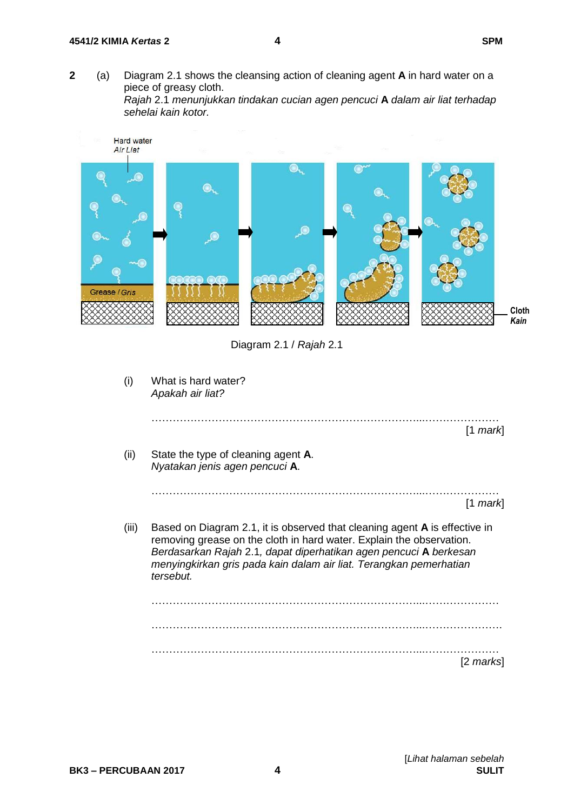**2** (a) Diagram 2.1 shows the cleansing action of cleaning agent **A** in hard water on a piece of greasy cloth. *Rajah* 2.1 *menunjukkan tindakan cucian agen pencuci* **A** *dalam air liat terhadap sehelai kain kotor.*



Diagram 2.1 / *Rajah* 2.1

| (i)   | What is hard water?<br>Apakah air liat?                                                                                                                                                                                                                                                                           |
|-------|-------------------------------------------------------------------------------------------------------------------------------------------------------------------------------------------------------------------------------------------------------------------------------------------------------------------|
|       | $[1$ mark                                                                                                                                                                                                                                                                                                         |
| (ii)  | State the type of cleaning agent A.<br>Nyatakan jenis agen pencuci A.                                                                                                                                                                                                                                             |
|       | $[1$ mark                                                                                                                                                                                                                                                                                                         |
| (iii) | Based on Diagram 2.1, it is observed that cleaning agent <b>A</b> is effective in<br>removing grease on the cloth in hard water. Explain the observation.<br>Berdasarkan Rajah 2.1, dapat diperhatikan agen pencuci A berkesan<br>menyingkirkan gris pada kain dalam air liat. Terangkan pemerhatian<br>tersebut. |
|       |                                                                                                                                                                                                                                                                                                                   |
|       |                                                                                                                                                                                                                                                                                                                   |
|       | [2 marks]                                                                                                                                                                                                                                                                                                         |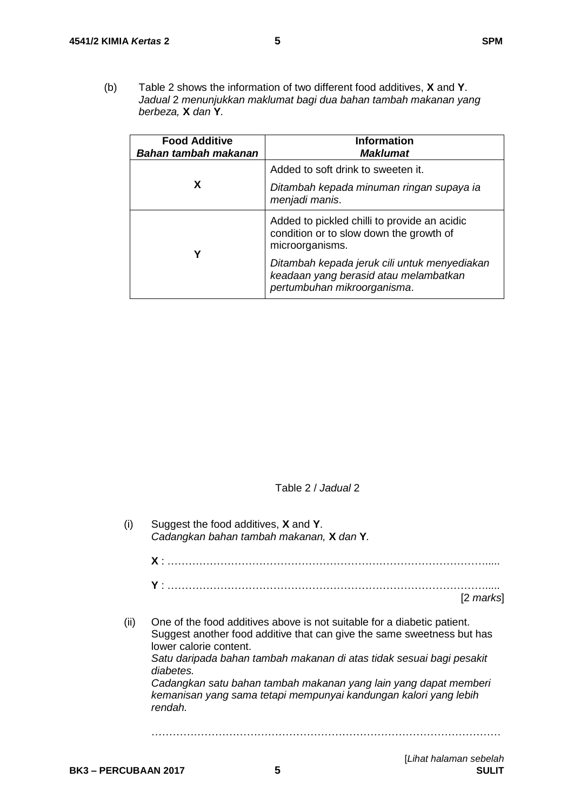(b) Table 2 shows the information of two different food additives, **X** and **Y**. *Jadual* 2 *menunjukkan maklumat bagi dua bahan tambah makanan yang berbeza,* **X** *dan* **Y***.*

| <b>Food Additive</b><br>Bahan tambah makanan | <b>Information</b><br><b>Maklumat</b>                                                                                |
|----------------------------------------------|----------------------------------------------------------------------------------------------------------------------|
|                                              | Added to soft drink to sweeten it.                                                                                   |
| X                                            | Ditambah kepada minuman ringan supaya ia<br>menjadi manis.                                                           |
| Υ                                            | Added to pickled chilli to provide an acidic<br>condition or to slow down the growth of<br>microorganisms.           |
|                                              | Ditambah kepada jeruk cili untuk menyediakan<br>keadaan yang berasid atau melambatkan<br>pertumbuhan mikroorganisma. |

Table 2 / *Jadual* 2

| (i)  | Suggest the food additives, X and Y.<br>Cadangkan bahan tambah makanan, X dan Y.                                                                                                                                                                                                                                                                                                                                    |  |  |  |  |  |
|------|---------------------------------------------------------------------------------------------------------------------------------------------------------------------------------------------------------------------------------------------------------------------------------------------------------------------------------------------------------------------------------------------------------------------|--|--|--|--|--|
|      |                                                                                                                                                                                                                                                                                                                                                                                                                     |  |  |  |  |  |
|      | [2 marks]                                                                                                                                                                                                                                                                                                                                                                                                           |  |  |  |  |  |
| (ii) | One of the food additives above is not suitable for a diabetic patient.<br>Suggest another food additive that can give the same sweetness but has<br>lower calorie content.<br>Satu daripada bahan tambah makanan di atas tidak sesuai bagi pesakit<br>diabetes.<br>Cadangkan satu bahan tambah makanan yang lain yang dapat memberi<br>kemanisan yang sama tetapi mempunyai kandungan kalori yang lebih<br>rendah. |  |  |  |  |  |
|      |                                                                                                                                                                                                                                                                                                                                                                                                                     |  |  |  |  |  |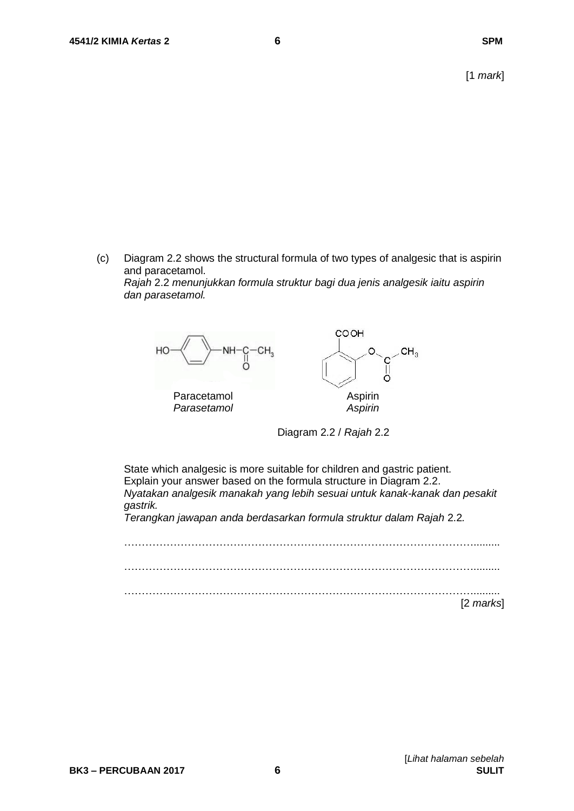(c) Diagram 2.2 shows the structural formula of two types of analgesic that is aspirin and paracetamol.

#### *Rajah* 2.2 *menunjukkan formula struktur bagi dua jenis analgesik iaitu aspirin dan parasetamol.*



Diagram 2.2 / *Rajah* 2.2

State which analgesic is more suitable for children and gastric patient. Explain your answer based on the formula structure in Diagram 2.2. *Nyatakan analgesik manakah yang lebih sesuai untuk kanak-kanak dan pesakit gastrik.*

*Terangkan jawapan anda berdasarkan formula struktur dalam Rajah* 2.2*.*

………………………………………………………………………………………......... ………………………………………………………………………………………......... ………………………………………………………………………………………......... [2 *marks*]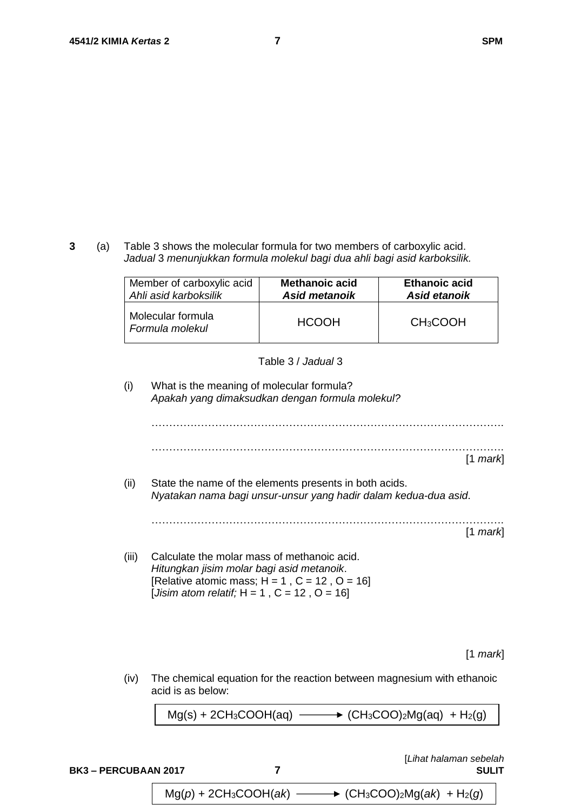**3** (a) Table 3 shows the molecular formula for two members of carboxylic acid. *Jadual* 3 *menunjukkan formula molekul bagi dua ahli bagi asid karboksilik.*

| Member of carboxylic acid            | <b>Methanoic acid</b> | <b>Ethanoic acid</b> |
|--------------------------------------|-----------------------|----------------------|
| Ahli asid karboksilik                | <b>Asid metanoik</b>  | Asid etanoik         |
| Molecular formula<br>Formula molekul | <b>HCOOH</b>          | CH <sub>3</sub> COOH |

#### Table 3 / *Jadual* 3

(i) What is the meaning of molecular formula? *Apakah yang dimaksudkan dengan formula molekul?*

………………………………………………………………………………………. ……………………………………………………………………………………….

[1 *mark*]

(ii) State the name of the elements presents in both acids. *Nyatakan nama bagi unsur-unsur yang hadir dalam kedua-dua asid*. ……………………………………………………………………………………….

[1 *mark*]

(iii) Calculate the molar mass of methanoic acid. *Hitungkan jisim molar bagi asid metanoik*. [Relative atomic mass;  $H = 1$ ,  $C = 12$ ,  $O = 16$ ] [*Jisim atom relatif;* H = 1 , C = 12 , O = 16]

[1 *mark*]

(iv) The chemical equation for the reaction between magnesium with ethanoic acid is as below:

 $Mg(s) + 2CH_3COOH(aq) \longrightarrow (CH_3COO)_2Mg(aq) + H_2(q)$ 

[*Lihat halaman sebelah* **BK3 – PERCUBAAN 2017 7 SULIT** Mg(*p*) + 2CH3COOH(*ak*) (CH3COO)2Mg(*ak*) + H2(*g*)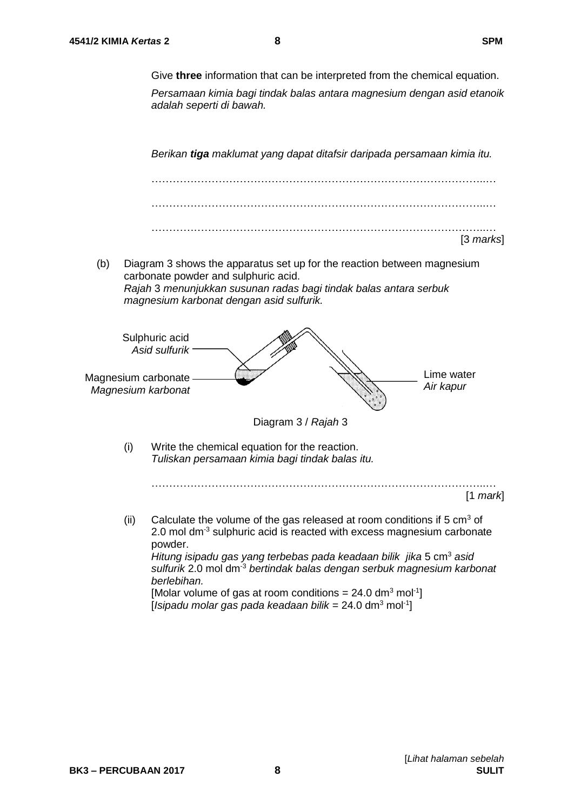Give **three** information that can be interpreted from the chemical equation.

*Persamaan kimia bagi tindak balas antara magnesium dengan asid etanoik adalah seperti di bawah.*

*Berikan tiga maklumat yang dapat ditafsir daripada persamaan kimia itu.*



(b) Diagram 3 shows the apparatus set up for the reaction between magnesium carbonate powder and sulphuric acid. *Rajah* 3 *menunjukkan susunan radas bagi tindak balas antara serbuk magnesium karbonat dengan asid sulfurik.*



*berlebihan.*

[Molar volume of gas at room conditions =  $24.0 \text{ dm}^3 \text{ mol}^{-1}$ ] [*Isipadu molar gas pada keadaan bilik* = 24.0 dm<sup>3</sup> mol-1 ]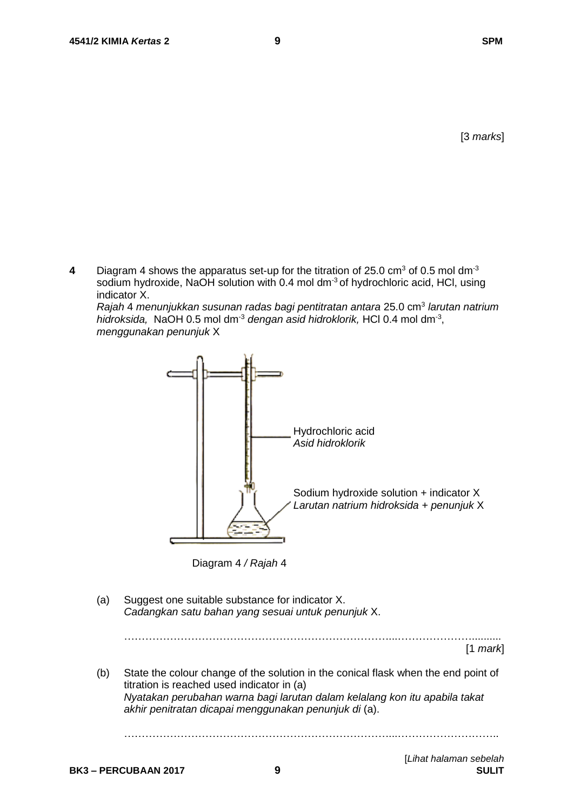[3 *marks*]

**4** Diagram 4 shows the apparatus set-up for the titration of 25.0 cm<sup>3</sup> of 0.5 mol dm<sup>-3</sup> sodium hydroxide, NaOH solution with 0.4 mol dm<sup>-3</sup> of hydrochloric acid, HCl, using indicator X.

Rajah 4 menunjukkan susunan radas bagi pentitratan antara 25.0 cm<sup>3</sup> larutan natrium hidroksida, NaOH 0.5 mol dm<sup>-3</sup> dengan asid hidroklorik, HCl 0.4 mol dm<sup>-3</sup>, *menggunakan penunjuk* X



Diagram 4 */ Rajah* 4

- (a) Suggest one suitable substance for indicator X. *Cadangkan satu bahan yang sesuai untuk penunjuk* X. …………………………………………………………………...………………….......... [1 *mark*]
- (b) State the colour change of the solution in the conical flask when the end point of titration is reached used indicator in (a) *Nyatakan perubahan warna bagi larutan dalam kelalang kon itu apabila takat akhir penitratan dicapai menggunakan penunjuk di* (a).

…………………………………………………………………...………………………..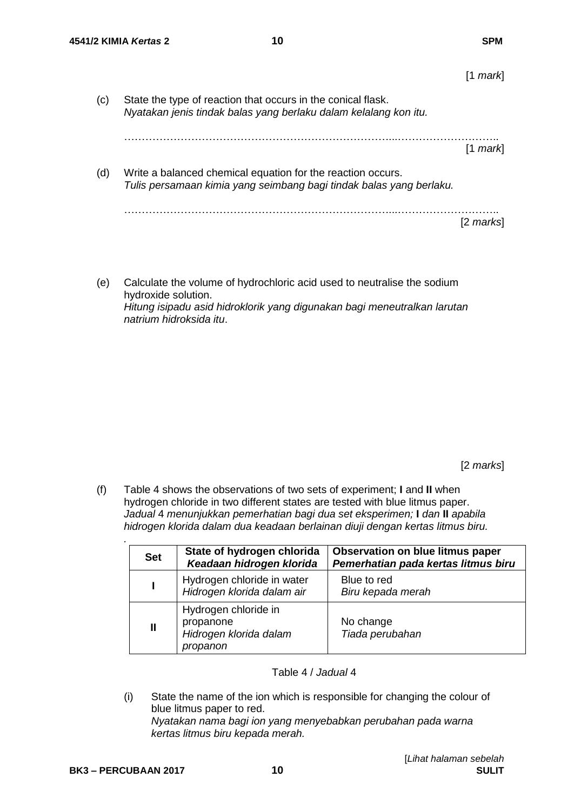[1 *mark*]

(c) State the type of reaction that occurs in the conical flask. *Nyatakan jenis tindak balas yang berlaku dalam kelalang kon itu.*

…………………………………………………………………...……………………….. [1 *mark*]

(d) Write a balanced chemical equation for the reaction occurs. *Tulis persamaan kimia yang seimbang bagi tindak balas yang berlaku.*

…………………………………………………………………...……………………….. [2 *marks*]

(e) Calculate the volume of hydrochloric acid used to neutralise the sodium hydroxide solution. *Hitung isipadu asid hidroklorik yang digunakan bagi meneutralkan larutan natrium hidroksida itu*.

[2 *marks*]

(f) Table 4 shows the observations of two sets of experiment; **I** and **II** when hydrogen chloride in two different states are tested with blue litmus paper. *Jadual* 4 *menunjukkan pemerhatian bagi dua set eksperimen;* **I** *dan* **II** *apabila hidrogen klorida dalam dua keadaan berlainan diuji dengan kertas litmus biru.*

| <b>Set</b>   | State of hydrogen chlorida<br>Keadaan hidrogen klorida                  | <b>Observation on blue litmus paper</b><br>Pemerhatian pada kertas litmus biru |
|--------------|-------------------------------------------------------------------------|--------------------------------------------------------------------------------|
|              | Hydrogen chloride in water<br>Hidrogen klorida dalam air                | Blue to red<br>Biru kepada merah                                               |
| $\mathbf{I}$ | Hydrogen chloride in<br>propanone<br>Hidrogen klorida dalam<br>propanon | No change<br>Tiada perubahan                                                   |

Table 4 / *Jadual* 4

(i) State the name of the ion which is responsible for changing the colour of blue litmus paper to red. *Nyatakan nama bagi ion yang menyebabkan perubahan pada warna kertas litmus biru kepada merah.*

*.*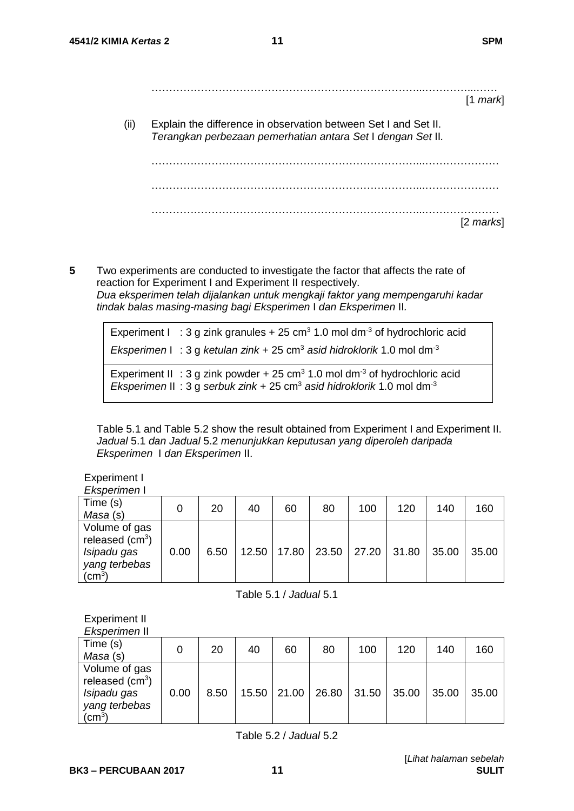- …………………………………………………………………...…………...…… [1 *mark*]
- (ii) Explain the difference in observation between Set I and Set II. *Terangkan perbezaan pemerhatian antara Set* I *dengan Set* II*.*

…………………………………………………………………...………………… …………………………………………………………………...………………… …………………………………………………………………...………………… [2 *marks*]

**5** Two experiments are conducted to investigate the factor that affects the rate of reaction for Experiment I and Experiment II respectively. *Dua eksperimen telah dijalankan untuk mengkaji faktor yang mempengaruhi kadar tindak balas masing-masing bagi Eksperimen* I *dan Eksperimen* II*.*

Experiment  $I : 3$  g zink granules + 25 cm<sup>3</sup> 1.0 mol dm<sup>-3</sup> of hydrochloric acid *Eksperimen* I : 3 g *ketulan zink* + 25 cm<sup>3</sup> *asid hidroklorik* 1.0 mol dm<sup>-3</sup> Experiment II : 3 g zink powder + 25 cm<sup>3</sup> 1.0 mol dm<sup>-3</sup> of hydrochloric acid *Eksperimen* II : 3 g *serbuk zink* + 25 cm<sup>3</sup> *asid hidroklorik* 1.0 mol dm-3

Table 5.1 and Table 5.2 show the result obtained from Experiment I and Experiment II. *Jadual* 5.1 *dan Jadual* 5.2 *menunjukkan keputusan yang diperoleh daripada Eksperimen* I *dan Eksperimen* II.

Experiment I

*Eksperimen* I

| Time (s)<br>Masa (s)                                                              |      | 20   | 40 | 60            | 80 | 100         | 120   | 140   | 160   |
|-----------------------------------------------------------------------------------|------|------|----|---------------|----|-------------|-------|-------|-------|
| Volume of gas<br>released $(cm3)$<br>Isipadu gas<br>yang terbebas<br>$\rm (cm^3)$ | 0.00 | 6.50 |    | 12.50   17.80 |    | 23.50 27.20 | 31.80 | 35.00 | 35.00 |

Table 5.1 / *Jadual* 5.1

#### Experiment II *Eksperimen* II

| LNJUUTIITUITTI                                                                                 |      |      |       |       |       |       |       |       |       |
|------------------------------------------------------------------------------------------------|------|------|-------|-------|-------|-------|-------|-------|-------|
| Time (s)<br>Masa (s)                                                                           |      | 20   | 40    | 60    | 80    | 100   | 120   | 140   | 160   |
| Volume of gas<br>released $(cm3)$<br>Isipadu gas<br>yang terbebas<br>$\mathsf{c} \mathsf{m}^3$ | 0.00 | 8.50 | 15.50 | 21.00 | 26.80 | 31.50 | 35.00 | 35.00 | 35.00 |

Table 5.2 / *Jadual* 5.2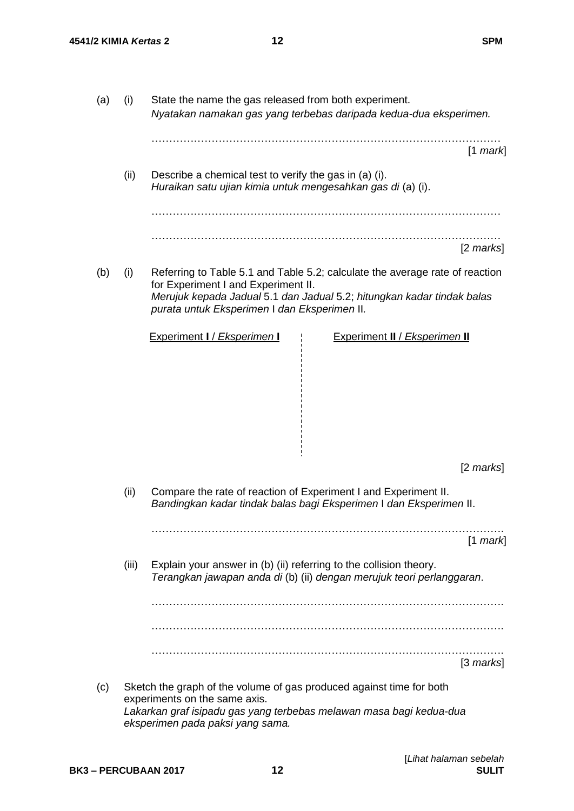| (a) | (i)   | State the name the gas released from both experiment.<br>Nyatakan namakan gas yang terbebas daripada kedua-dua eksperimen.                                                                                                                    |  |  |  |  |
|-----|-------|-----------------------------------------------------------------------------------------------------------------------------------------------------------------------------------------------------------------------------------------------|--|--|--|--|
|     |       | $[1$ mark]                                                                                                                                                                                                                                    |  |  |  |  |
|     | (ii)  | Describe a chemical test to verify the gas in (a) (i).<br>Huraikan satu ujian kimia untuk mengesahkan gas di (a) (i).                                                                                                                         |  |  |  |  |
|     |       |                                                                                                                                                                                                                                               |  |  |  |  |
|     |       | $[2 \text{ marks}]$                                                                                                                                                                                                                           |  |  |  |  |
| (b) | (i)   | Referring to Table 5.1 and Table 5.2; calculate the average rate of reaction<br>for Experiment I and Experiment II.<br>Merujuk kepada Jadual 5.1 dan Jadual 5.2; hitungkan kadar tindak balas<br>purata untuk Eksperimen I dan Eksperimen II. |  |  |  |  |
|     |       | <b>Experiment I / Eksperimen I</b><br><b>Experiment II / Eksperimen II</b>                                                                                                                                                                    |  |  |  |  |
|     |       | $[2 \text{ marks}]$                                                                                                                                                                                                                           |  |  |  |  |
|     | (ii)  | Compare the rate of reaction of Experiment I and Experiment II.<br>Bandingkan kadar tindak balas bagi Eksperimen I dan Eksperimen II.                                                                                                         |  |  |  |  |
|     |       | $[1$ mark]                                                                                                                                                                                                                                    |  |  |  |  |
|     | (iii) | Explain your answer in (b) (ii) referring to the collision theory.<br>Terangkan jawapan anda di (b) (ii) dengan merujuk teori perlanggaran.                                                                                                   |  |  |  |  |
|     |       |                                                                                                                                                                                                                                               |  |  |  |  |
|     |       |                                                                                                                                                                                                                                               |  |  |  |  |
|     |       | $[3$ marks]                                                                                                                                                                                                                                   |  |  |  |  |
| (c) |       | Sketch the graph of the volume of gas produced against time for both<br>experiments on the same axis.<br>Lakarkan graf isipadu gas yang terbebas melawan masa bagi kedua-dua                                                                  |  |  |  |  |

*eksperimen pada paksi yang sama.*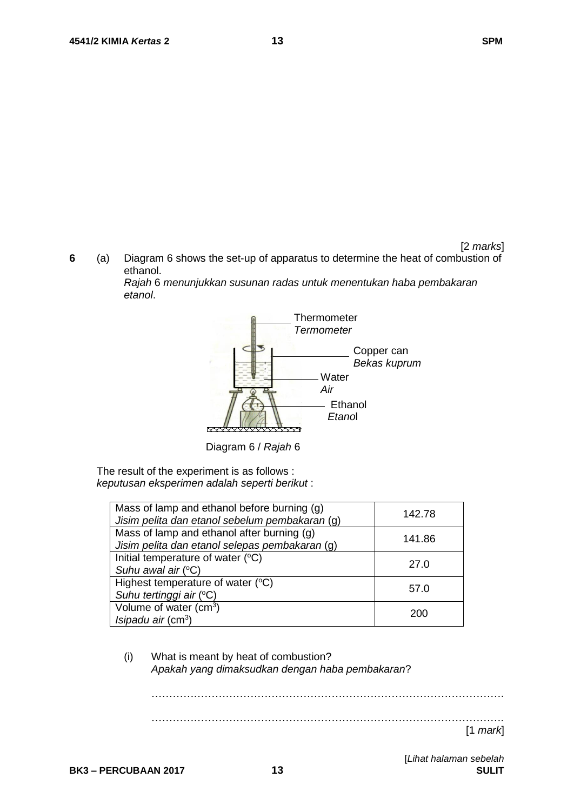**6** (a) Diagram 6 shows the set-up of apparatus to determine the heat of combustion of ethanol.

> *Rajah* 6 *menunjukkan susunan radas untuk menentukan haba pembakaran etanol*.



Diagram 6 / *Rajah* 6

The result of the experiment is as follows : *keputusan eksperimen adalah seperti berikut* :

| Mass of lamp and ethanol before burning (g)<br>Jisim pelita dan etanol sebelum pembakaran (g) | 142.78 |
|-----------------------------------------------------------------------------------------------|--------|
| Mass of lamp and ethanol after burning (g)<br>Jisim pelita dan etanol selepas pembakaran (g)  | 141.86 |
| Initial temperature of water (°C)<br>Suhu awal air $(°C)$                                     | 27.0   |
| Highest temperature of water (°C)<br>Suhu tertinggi air (°C)                                  | 57.0   |
| Volume of water (cm <sup>3</sup> )<br>Isipadu air $(cm^3)$                                    | 200    |

(i) What is meant by heat of combustion? *Apakah yang dimaksudkan dengan haba pembakaran*?

………………………………………………………………………………………. ……………………………………………………………………………………….

[1 *mark*]

[*Lihat halaman sebelah*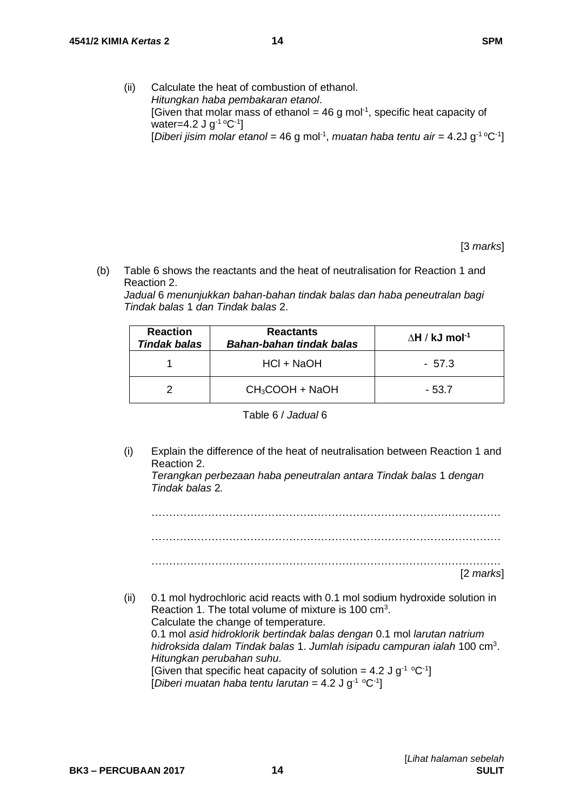(ii) Calculate the heat of combustion of ethanol. *Hitungkan haba pembakaran etanol*. [Given that molar mass of ethanol =  $46$  g mol<sup>-1</sup>, specific heat capacity of water=4.2 J g<sup>-1 o</sup>C<sup>-1</sup>] [Diberi jisim molar etanol = 46 g mol<sup>-1</sup>, muatan haba tentu air = 4.2J g<sup>-1 o</sup>C<sup>-1</sup>]

[3 *marks*]

(b) Table 6 shows the reactants and the heat of neutralisation for Reaction 1 and Reaction 2.

*Jadual* 6 *menunjukkan bahan-bahan tindak balas dan haba peneutralan bagi Tindak balas* 1 *dan Tindak balas* 2.

| <b>Reaction</b><br><b>Tindak balas</b> | <b>Reactants</b><br>Bahan-bahan tindak balas | $\Delta$ H / kJ mol <sup>-1</sup> |  |  |
|----------------------------------------|----------------------------------------------|-----------------------------------|--|--|
|                                        | HCl + NaOH                                   | - 57.3                            |  |  |
|                                        | $CH_3COOH + NaOH$                            | - 53.7                            |  |  |

Table 6 / *Jadual* 6

(i) Explain the difference of the heat of neutralisation between Reaction 1 and Reaction 2.

*Terangkan perbezaan haba peneutralan antara Tindak balas* 1 *dengan Tindak balas* 2*.*

……………………………………………………………………………………… ……………………………………………………………………………………… ……………………………………………………………………………………… [2 *marks*] (ii) 0.1 mol hydrochloric acid reacts with 0.1 mol sodium hydroxide solution in Reaction 1. The total volume of mixture is 100  $\text{cm}^3$ . Calculate the change of temperature. 0.1 mol *asid hidroklorik bertindak balas dengan* 0.1 mol *larutan natrium hidroksida dalam Tindak balas* 1. *Jumlah isipadu campuran ialah* 100 cm<sup>3</sup> . *Hitungkan perubahan suhu*.

[Given that specific heat capacity of solution = 4.2 J g<sup>-1</sup> °C<sup>-1</sup>] [Diberi muatan haba tentu larutan =  $4.2$  J g<sup>-1</sup> °C<sup>-1</sup>]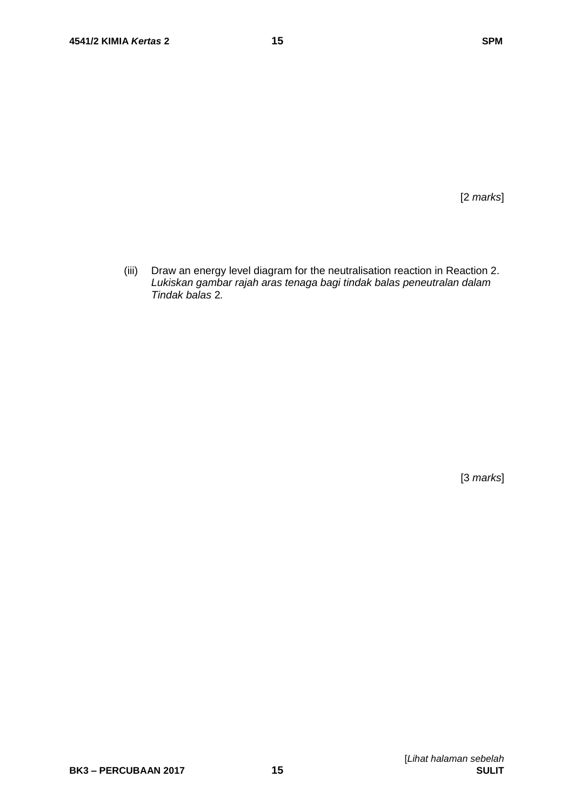[2 *marks*]

(iii) Draw an energy level diagram for the neutralisation reaction in Reaction 2. *Lukiskan gambar rajah aras tenaga bagi tindak balas peneutralan dalam Tindak balas* 2*.*

[3 *marks*]

[*Lihat halaman sebelah*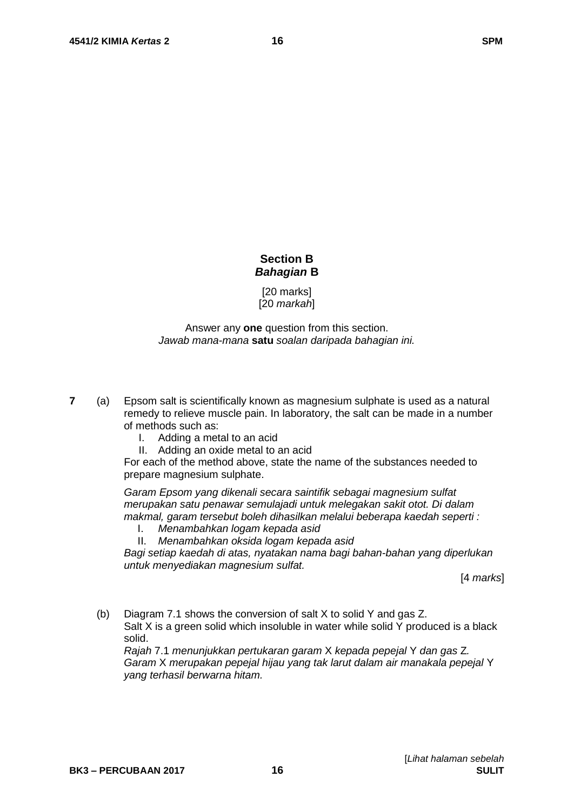## **Section B** *Bahagian* **B**

[20 marks] [20 *markah*]

## Answer any **one** question from this section. *Jawab mana-mana* **satu** *soalan daripada bahagian ini.*

- **7** (a) Epsom salt is scientifically known as magnesium sulphate is used as a natural remedy to relieve muscle pain. In laboratory, the salt can be made in a number of methods such as:
	- I. Adding a metal to an acid
	- II. Adding an oxide metal to an acid

For each of the method above, state the name of the substances needed to prepare magnesium sulphate.

*Garam Epsom yang dikenali secara saintifik sebagai magnesium sulfat merupakan satu penawar semulajadi untuk melegakan sakit otot. Di dalam makmal, garam tersebut boleh dihasilkan melalui beberapa kaedah seperti :*

- I. *Menambahkan logam kepada asid*
- II. *Menambahkan oksida logam kepada asid*

*Bagi setiap kaedah di atas, nyatakan nama bagi bahan-bahan yang diperlukan untuk menyediakan magnesium sulfat.*

[4 *marks*]

(b) Diagram 7.1 shows the conversion of salt X to solid Y and gas Z.

Salt X is a green solid which insoluble in water while solid Y produced is a black solid.

*Rajah* 7.1 *menunjukkan pertukaran garam* X *kepada pepejal* Y *dan gas* Z*. Garam* X *merupakan pepejal hijau yang tak larut dalam air manakala pepejal* Y *yang terhasil berwarna hitam.*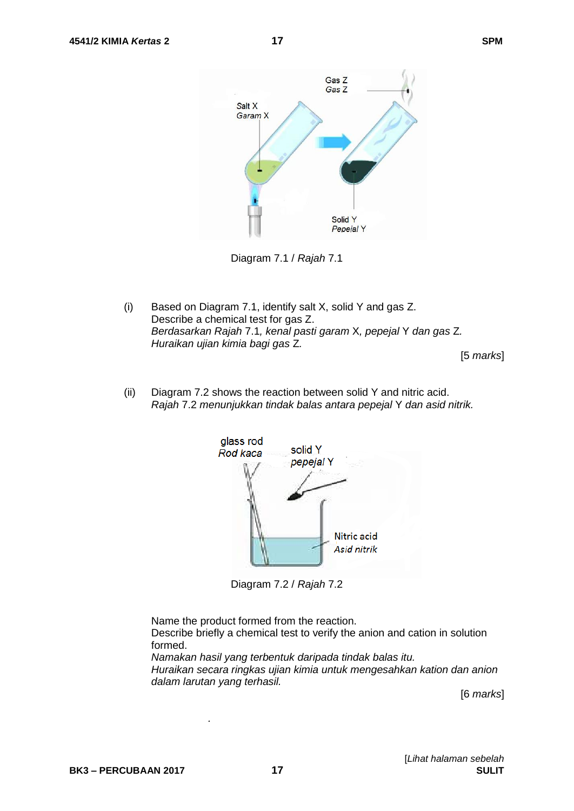

Diagram 7.1 / *Rajah* 7.1

(i) Based on Diagram 7.1, identify salt X, solid Y and gas Z. Describe a chemical test for gas Z. *Berdasarkan Rajah* 7.1*, kenal pasti garam* X*, pepejal* Y *dan gas* Z*. Huraikan ujian kimia bagi gas* Z*.*

[5 *marks*]

(ii) Diagram 7.2 shows the reaction between solid Y and nitric acid. *Rajah* 7.2 *menunjukkan tindak balas antara pepejal* Y *dan asid nitrik.*



Diagram 7.2 / *Rajah* 7.2

Name the product formed from the reaction.

*.*

Describe briefly a chemical test to verify the anion and cation in solution formed.

*Namakan hasil yang terbentuk daripada tindak balas itu. Huraikan secara ringkas ujian kimia untuk mengesahkan kation dan anion dalam larutan yang terhasil.*

[6 *marks*]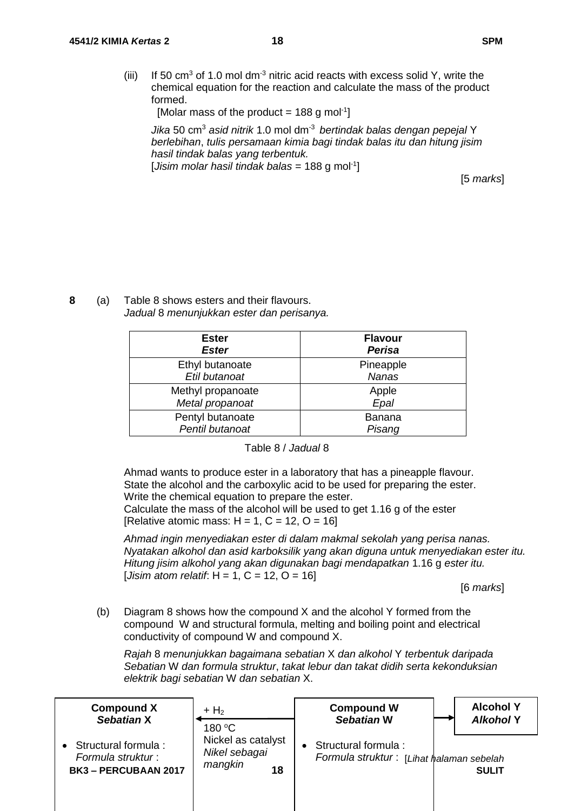(iii) If 50  $\text{cm}^3$  of 1.0 mol dm<sup>-3</sup> nitric acid reacts with excess solid Y, write the chemical equation for the reaction and calculate the mass of the product formed.

[Molar mass of the product = 188 g mol<sup>-1</sup>]

*Jika* 50 cm<sup>3</sup> *asid nitrik* 1.0 mol dm-3 *bertindak balas dengan pepejal* Y *berlebihan*, *tulis persamaan kimia bagi tindak balas itu dan hitung jisim hasil tindak balas yang terbentuk.* [*Jisim molar hasil tindak balas* = 188 g mol<sup>-1</sup>]

[5 *marks*]

**8** (a) Table 8 shows esters and their flavours. *Jadual* 8 *menunjukkan ester dan perisanya.*

| <b>Ester</b><br><b>Ester</b> | <b>Flavour</b><br><b>Perisa</b> |
|------------------------------|---------------------------------|
| Ethyl butanoate              | Pineapple                       |
| Etil butanoat                | <b>Nanas</b>                    |
| Methyl propanoate            | Apple                           |
| Metal propanoat              | Epal                            |
| Pentyl butanoate             | <b>Banana</b>                   |
| Pentil butanoat              | Pisang                          |

#### Table 8 / *Jadual* 8

Ahmad wants to produce ester in a laboratory that has a pineapple flavour. State the alcohol and the carboxylic acid to be used for preparing the ester. Write the chemical equation to prepare the ester.

Calculate the mass of the alcohol will be used to get 1.16 g of the ester [Relative atomic mass:  $H = 1$ ,  $C = 12$ ,  $O = 16$ ]

*Ahmad ingin menyediakan ester di dalam makmal sekolah yang perisa nanas. Nyatakan alkohol dan asid karboksilik yang akan diguna untuk menyediakan ester itu. Hitung jisim alkohol yang akan digunakan bagi mendapatkan* 1.16 g *ester itu.* [*Jisim atom relatif*: H = 1, C = 12, O = 16]

[6 *marks*]

(b) Diagram 8 shows how the compound X and the alcohol Y formed from the compound W and structural formula, melting and boiling point and electrical conductivity of compound W and compound X.

*Rajah* 8 *menunjukkan bagaimana sebatian* X *dan alkohol* Y *terbentuk daripada Sebatian* W *dan formula struktur*, *takat lebur dan takat didih serta kekonduksian elektrik bagi sebatian* W *dan sebatian* X.

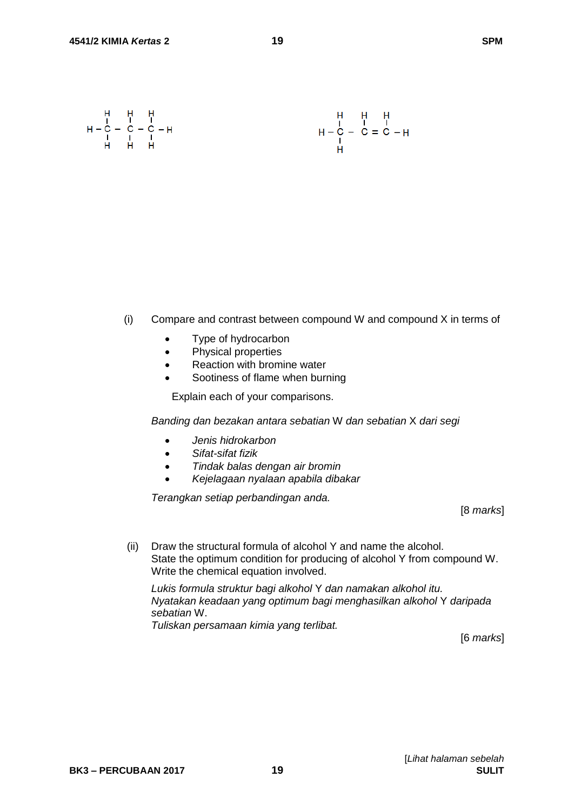$$
H - C - C - C - H
$$
  
\n $H - C - C - C - H$   
\n $H - C - C = C - H$   
\n $H - C - C = C - H$ 

- (i) Compare and contrast between compound W and compound X in terms of
	- Type of hydrocarbon
	- Physical properties
	- Reaction with bromine water
	- Sootiness of flame when burning

Explain each of your comparisons.

*Banding dan bezakan antara sebatian* W *dan sebatian* X *dari segi*

- *Jenis hidrokarbon*
- *Sifat-sifat fizik*
- *Tindak balas dengan air bromin*
- *Kejelagaan nyalaan apabila dibakar*

*Terangkan setiap perbandingan anda.*

[8 *marks*]

(ii) Draw the structural formula of alcohol Y and name the alcohol. State the optimum condition for producing of alcohol Y from compound W. Write the chemical equation involved.

*Lukis formula struktur bagi alkohol* Y *dan namakan alkohol itu. Nyatakan keadaan yang optimum bagi menghasilkan alkohol* Y *daripada sebatian* W. *Tuliskan persamaan kimia yang terlibat.*

[6 *marks*]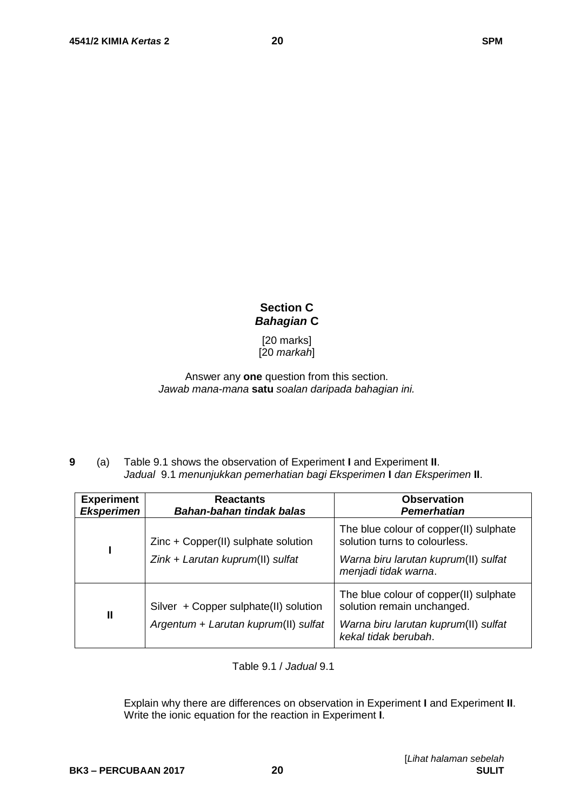# **Section C** *Bahagian* **C**

[20 marks] [20 *markah*]

Answer any **one** question from this section. *Jawab mana-mana* **satu** *soalan daripada bahagian ini.*

**9** (a) Table 9.1 shows the observation of Experiment **I** and Experiment **II**. *Jadual* 9.1 *menunjukkan pemerhatian bagi Eksperimen* **I** *dan Eksperimen* **II**.

| <b>Experiment</b><br><b>Eksperimen</b> | <b>Reactants</b><br>Bahan-bahan tindak balas | <b>Observation</b><br>Pemerhatian                                       |
|----------------------------------------|----------------------------------------------|-------------------------------------------------------------------------|
|                                        | Zinc + Copper(II) sulphate solution          | The blue colour of copper(II) sulphate<br>solution turns to colourless. |
|                                        | Zink + Larutan kuprum(II) sulfat             | Warna biru larutan kuprum(II) sulfat<br>menjadi tidak warna.            |
| $\mathbf{I}$                           | Silver + Copper sulphate(II) solution        | The blue colour of copper(II) sulphate<br>solution remain unchanged.    |
|                                        | Argentum + Larutan kuprum(II) sulfat         | Warna biru larutan kuprum(II) sulfat<br>kekal tidak berubah.            |

Table 9.1 / *Jadual* 9.1

Explain why there are differences on observation in Experiment **I** and Experiment **II**. Write the ionic equation for the reaction in Experiment **I**.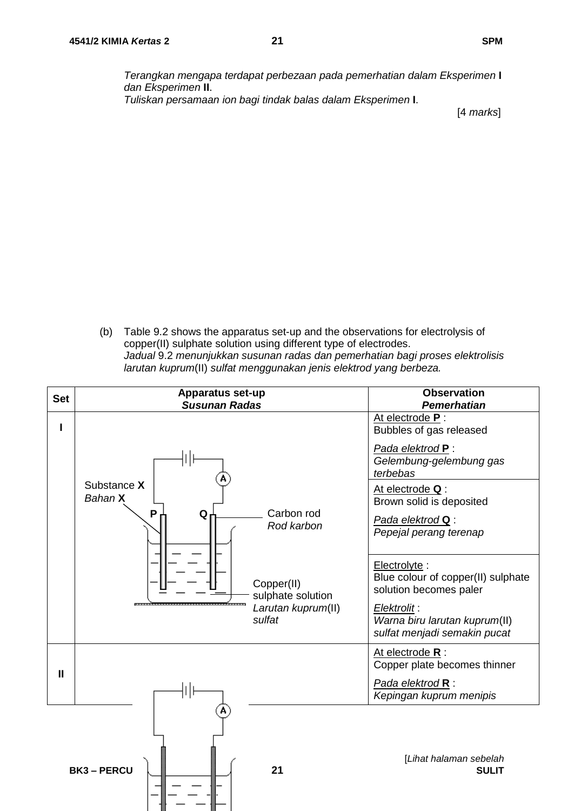*Terangkan mengapa terdapat perbezaan pada pemerhatian dalam Eksperimen* **I** *dan Eksperimen* **II**. *Tuliskan persamaan ion bagi tindak balas dalam Eksperimen* **I**.

[4 *marks*]

(b) Table 9.2 shows the apparatus set-up and the observations for electrolysis of copper(II) sulphate solution using different type of electrodes. *Jadual* 9.2 *menunjukkan susunan radas dan pemerhatian bagi proses elektrolisis larutan kuprum*(II) *sulfat menggunakan jenis elektrod yang berbeza.*

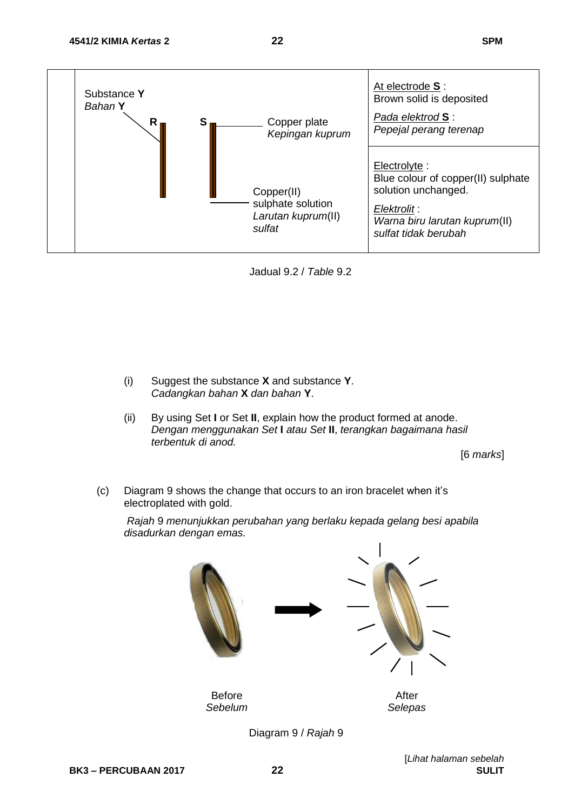

Jadual 9.2 / *Table* 9.2

- (i) Suggest the substance **X** and substance **Y**. *Cadangkan bahan* **X** *dan bahan* **Y**.
- (ii) By using Set **I** or Set **II**, explain how the product formed at anode. *Dengan menggunakan Set* **I** *atau Set* **II**, *terangkan bagaimana hasil terbentuk di anod.*

[6 *marks*]

(c) Diagram 9 shows the change that occurs to an iron bracelet when it's electroplated with gold.

*Rajah* 9 *menunjukkan perubahan yang berlaku kepada gelang besi apabila disadurkan dengan emas.*



Diagram 9 / *Rajah* 9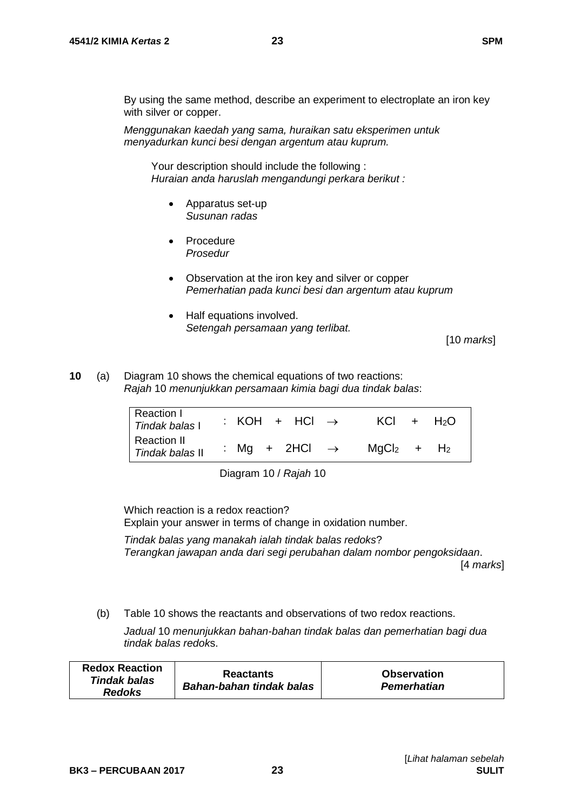By using the same method, describe an experiment to electroplate an iron key with silver or copper.

*Menggunakan kaedah yang sama, huraikan satu eksperimen untuk menyadurkan kunci besi dengan argentum atau kuprum.* 

Your description should include the following : *Huraian anda haruslah mengandungi perkara berikut :*

- Apparatus set-up *Susunan radas*
- Procedure *Prosedur*
- Observation at the iron key and silver or copper *Pemerhatian pada kunci besi dan argentum atau kuprum*
- Half equations involved. *Setengah persamaan yang terlibat.*

[10 *marks*]

**10** (a) Diagram 10 shows the chemical equations of two reactions: *Rajah* 10 *menunjukkan persamaan kimia bagi dua tindak balas*:

| Reaction I<br>Tindak balas I   | : KOH + HCl $\rightarrow$ | $KCI + H2O$    |
|--------------------------------|---------------------------|----------------|
| Reaction II<br>Tindak balas II | : Mg + 2HCl $\rightarrow$ | $MqCl2$ + $H2$ |

Diagram 10 / *Rajah* 10

Which reaction is a redox reaction? Explain your answer in terms of change in oxidation number.

*Tindak balas yang manakah ialah tindak balas redoks*? *Terangkan jawapan anda dari segi perubahan dalam nombor pengoksidaan*.

[4 *marks*]

(b) Table 10 shows the reactants and observations of two redox reactions.

*Jadual* 10 *menunjukkan bahan-bahan tindak balas dan pemerhatian bagi dua tindak balas redok*s.

| <b>Redox Reaction</b> | <b>Reactants</b>         | <b>Observation</b> |
|-----------------------|--------------------------|--------------------|
| Tindak balas          | Bahan-bahan tindak balas | <b>Pemerhatian</b> |
| <b>Redoks</b>         |                          |                    |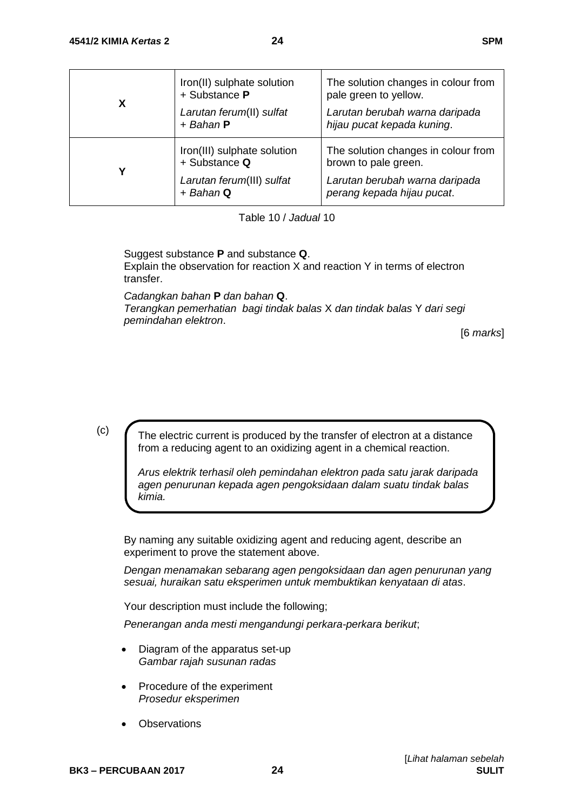| X | Iron(II) sulphate solution<br>+ Substance P<br>Larutan ferum(II) sulfat<br>$+$ Bahan $P$ | The solution changes in colour from<br>pale green to yellow.<br>Larutan berubah warna daripada<br>hijau pucat kepada kuning. |
|---|------------------------------------------------------------------------------------------|------------------------------------------------------------------------------------------------------------------------------|
| γ | Iron(III) sulphate solution<br>+ Substance Q<br>Larutan ferum(III) sulfat<br>$+$ Bahan Q | The solution changes in colour from<br>brown to pale green.<br>Larutan berubah warna daripada<br>perang kepada hijau pucat.  |

Table 10 / *Jadual* 10

Suggest substance **P** and substance **Q**. Explain the observation for reaction X and reaction Y in terms of electron transfer.

*Cadangkan bahan* **P** *dan bahan* **Q**. *Terangkan pemerhatian bagi tindak balas* X *dan tindak balas* Y *dari segi pemindahan elektron*.

[6 *marks*]

(c)

The electric current is produced by the transfer of electron at a distance from a reducing agent to an oxidizing agent in a chemical reaction.

*Arus elektrik terhasil oleh pemindahan elektron pada satu jarak daripada agen penurunan kepada agen pengoksidaan dalam suatu tindak balas kimia.*

By naming any suitable oxidizing agent and reducing agent, describe an experiment to prove the statement above.

*Dengan menamakan sebarang agen pengoksidaan dan agen penurunan yang sesuai, huraikan satu eksperimen untuk membuktikan kenyataan di atas*.

Your description must include the following;

*Penerangan anda mesti mengandungi perkara-perkara berikut*;

- Diagram of the apparatus set-up *Gambar rajah susunan radas*
- Procedure of the experiment *Prosedur eksperimen*
- **Observations**